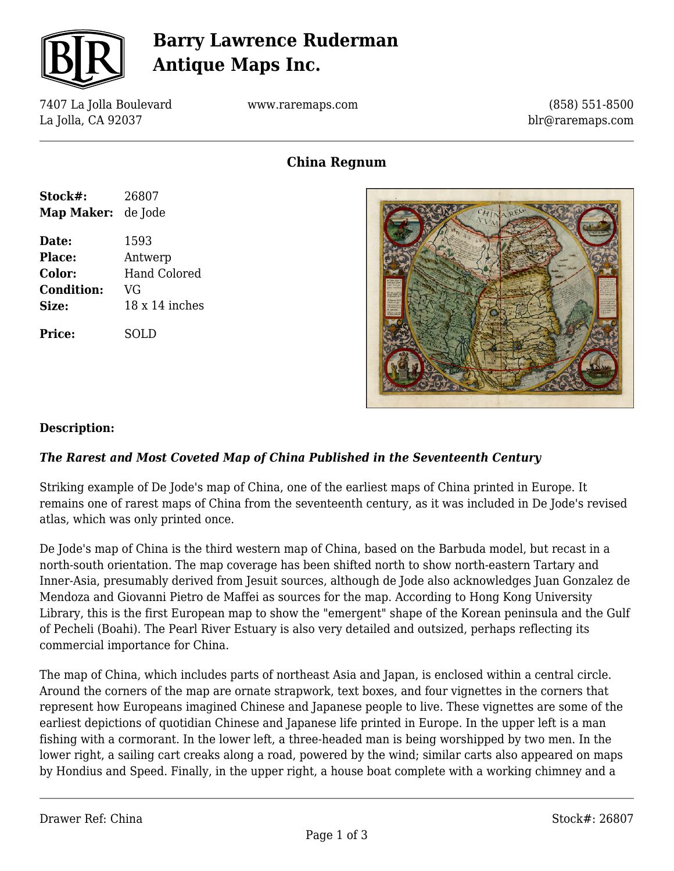

# **Barry Lawrence Ruderman Antique Maps Inc.**

7407 La Jolla Boulevard La Jolla, CA 92037

www.raremaps.com

(858) 551-8500 blr@raremaps.com

**China Regnum**

| Stock#:           | 26807          |
|-------------------|----------------|
| Map Maker:        | de Jode        |
| Date:             | 1593           |
| <b>Place:</b>     | Antwerp        |
| Color:            | Hand Colored   |
| <b>Condition:</b> | VG             |
| Size:             | 18 x 14 inches |
| <b>Price:</b>     | SOLD           |



### **Description:**

### *The Rarest and Most Coveted Map of China Published in the Seventeenth Century*

Striking example of De Jode's map of China, one of the earliest maps of China printed in Europe. It remains one of rarest maps of China from the seventeenth century, as it was included in De Jode's revised atlas, which was only printed once.

De Jode's map of China is the third western map of China, based on the Barbuda model, but recast in a north-south orientation. The map coverage has been shifted north to show north-eastern Tartary and Inner-Asia, presumably derived from Jesuit sources, although de Jode also acknowledges Juan Gonzalez de Mendoza and Giovanni Pietro de Maffei as sources for the map. According to Hong Kong University Library, this is the first European map to show the "emergent" shape of the Korean peninsula and the Gulf of Pecheli (Boahi). The Pearl River Estuary is also very detailed and outsized, perhaps reflecting its commercial importance for China.

The map of China, which includes parts of northeast Asia and Japan, is enclosed within a central circle. Around the corners of the map are ornate strapwork, text boxes, and four vignettes in the corners that represent how Europeans imagined Chinese and Japanese people to live. These vignettes are some of the earliest depictions of quotidian Chinese and Japanese life printed in Europe. In the upper left is a man fishing with a cormorant. In the lower left, a three-headed man is being worshipped by two men. In the lower right, a sailing cart creaks along a road, powered by the wind; similar carts also appeared on maps by Hondius and Speed. Finally, in the upper right, a house boat complete with a working chimney and a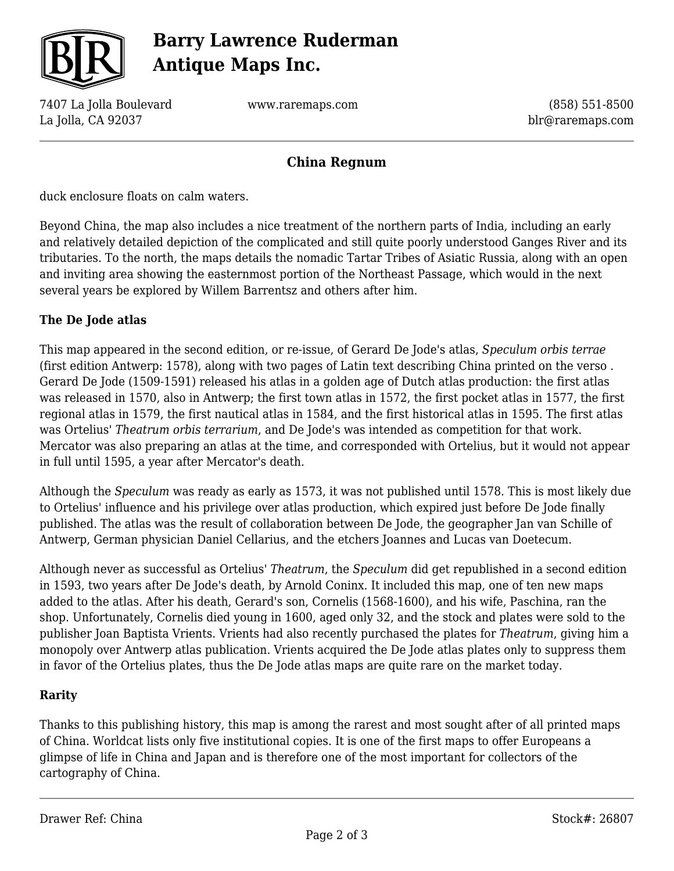

# **Barry Lawrence Ruderman Antique Maps Inc.**

7407 La Jolla Boulevard La Jolla, CA 92037

www.raremaps.com

(858) 551-8500 blr@raremaps.com

## **China Regnum**

duck enclosure floats on calm waters.

Beyond China, the map also includes a nice treatment of the northern parts of India, including an early and relatively detailed depiction of the complicated and still quite poorly understood Ganges River and its tributaries. To the north, the maps details the nomadic Tartar Tribes of Asiatic Russia, along with an open and inviting area showing the easternmost portion of the Northeast Passage, which would in the next several years be explored by Willem Barrentsz and others after him.

### **The De Jode atlas**

This map appeared in the second edition, or re-issue, of Gerard De Jode's atlas, *Speculum orbis terrae* (first edition Antwerp: 1578), along with two pages of Latin text describing China printed on the verso *.* Gerard De Jode (1509-1591) released his atlas in a golden age of Dutch atlas production: the first atlas was released in 1570, also in Antwerp; the first town atlas in 1572, the first pocket atlas in 1577, the first regional atlas in 1579, the first nautical atlas in 1584, and the first historical atlas in 1595. The first atlas was Ortelius' *Theatrum orbis terrarium*, and De Jode's was intended as competition for that work. Mercator was also preparing an atlas at the time, and corresponded with Ortelius, but it would not appear in full until 1595, a year after Mercator's death.

Although the *Speculum* was ready as early as 1573, it was not published until 1578. This is most likely due to Ortelius' influence and his privilege over atlas production, which expired just before De Jode finally published. The atlas was the result of collaboration between De Jode, the geographer Jan van Schille of Antwerp, German physician Daniel Cellarius, and the etchers Joannes and Lucas van Doetecum.

Although never as successful as Ortelius' *Theatrum*, the *Speculum* did get republished in a second edition in 1593, two years after De Jode's death, by Arnold Coninx. It included this map, one of ten new maps added to the atlas. After his death, Gerard's son, Cornelis (1568-1600), and his wife, Paschina, ran the shop. Unfortunately, Cornelis died young in 1600, aged only 32, and the stock and plates were sold to the publisher Joan Baptista Vrients. Vrients had also recently purchased the plates for *Theatrum*, giving him a monopoly over Antwerp atlas publication. Vrients acquired the De Jode atlas plates only to suppress them in favor of the Ortelius plates, thus the De Jode atlas maps are quite rare on the market today.

#### **Rarity**

Thanks to this publishing history, this map is among the rarest and most sought after of all printed maps of China. Worldcat lists only five institutional copies. It is one of the first maps to offer Europeans a glimpse of life in China and Japan and is therefore one of the most important for collectors of the cartography of China.